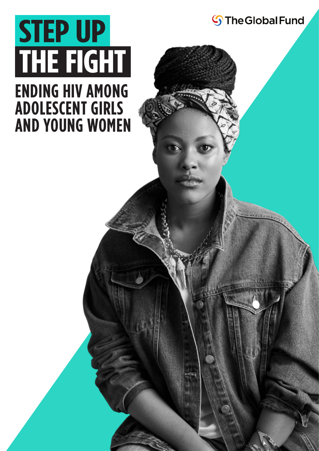

### **ENDING HIV AMONG ADOLESCENT GIRLS AND YOUNG WOMEN**

**S**The Global Fund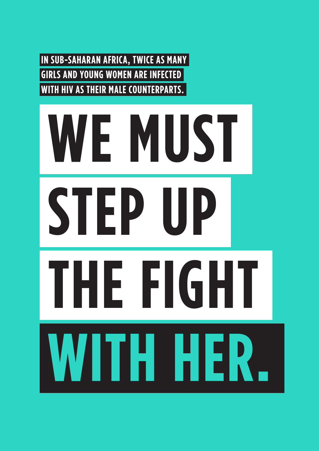**IN SUB-SAHARAN AFRICA, TWICE AS MANY GIRLS AND YOUNG WOMEN ARE INFECTED WITH HIV AS THEIR MALE COUNTERPARTS.**

# **WE MUST STEP UP THE FIGHT WITH HER.**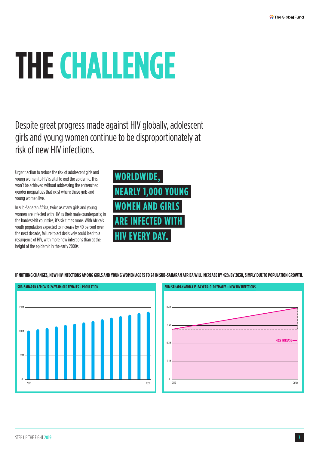## **THE CHALLENGE**

Despite great progress made against HIV globally, adolescent girls and young women continue to be disproportionately at risk of new HIV infections.

Urgent action to reduce the risk of adolescent girls and young women to HIV is vital to end the epidemic. This won't be achieved without addressing the entrenched gender inequalities that exist where these girls and young women live.

In sub-Saharan Africa, twice as many girls and young women are infected with HIV as their male counterparts; in the hardest-hit countries, it's six times more. With Africa's youth population expected to increase by 40 percent over the next decade, failure to act decisively could lead to a resurgence of HIV, with more new infections than at the height of the epidemic in the early 2000s.



**IF NOTHING CHANGES, NEW HIV INFECTIONS AMONG GIRLS AND YOUNG WOMEN AGE 15 TO 24 IN SUB-SAHARAN AFRICA WILL INCREASE BY 42% BY 2030, SIMPLY DUE TO POPULATION GROWTH.**

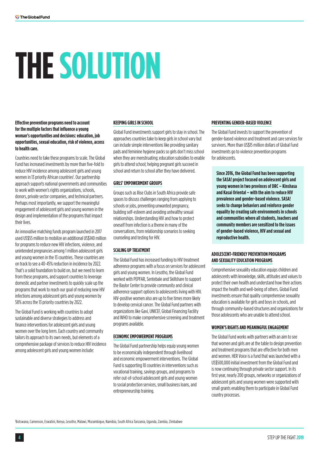# **THE SOLUTION**

**Effective prevention programs need to account for the multiple factors that influence a young woman's opportunities and decisions: education, job opportunities, sexual education, risk of violence, access to health care.**

Countries need to take these programs to scale. The Global Fund has increased investments by more than five-fold to reduce HIV incidence among adolescent girls and young women in 13 priority African countries<sup>1</sup>. Our partnership approach supports national governments and communities to work with women's rights organizations, schools, donors, private sector companies, and technical partners. Perhaps most importantly, we support the meaningful engagement of adolescent girls and young women in the design and implementation of the programs that impact their lives.

An innovative matching funds program launched in 2017 used US\$55 million to mobilize an additional US\$140 million for programs to reduce new HIV infections, violence, and unintended pregnancies among 1 million adolescent girls and young women in the 13 countries. These countries are on track to see a 40-45% reduction in incidence by 2022. That's a solid foundation to build on, but we need to learn from these programs, and support countries to leverage domestic and partner investments to quickly scale up the programs that work to reach our goal of reducing new HIV infections among adolescent girls and young women by 58% across the 13 priority countries by 2022.

The Global Fund is working with countries to adopt sustainable and diverse strategies to address and finance interventions for adolescent girls and young women over the long term. Each country and community tailors its approach to its own needs, but elements of a comprehensive package of services to reduce HIV incidence among adolescent girls and young women include:

#### **KEEPING GIRLS IN SCHOOL**

Global Fund investments support girls to stay in school. The approaches countries take to keep girls in school vary but can include simple interventions like providing sanitary pads and feminine hygiene packs so girls don't miss school when they are menstruating; education subsidies to enable girls to attend school; helping pregnant girls succeed in school and return to school after they have delivered.

#### **GIRLS' EMPOWERMENT GROUPS**

Groups such as Rise Clubs in South Africa provide safe spaces to discuss challenges ranging from applying to schools or jobs, preventing unwanted pregnancy, building self-esteem and avoiding unhealthy sexual relationships. Understanding HIV and how to protect oneself from infection is a theme in many of the conversations, from relationship scenarios to seeking counseling and testing for HIV.

#### **SCALING UP TREATMENT**

The Global Fund has increased funding to HIV treatment adherence programs with a focus on services for adolescent girls and young women. In Lesotho, the Global Fund worked with PEPFAR, Sentebale and Skillshare to support the Baylor Center to provide community and clinical adherence support options to adolescents living with HIV. HIV-positive women also are up to five times more likely to develop cervical cancer. The Global Fund partners with organizations like Gavi, UNICEF, Global Financing Facility and WHO to make comprehensive screening and treatment programs available.

#### **ECONOMIC EMPOWERMENT PROGRAMS**

The Global Fund partnership helps equip young women to be economically independent through livelihood and economic empowerment interventions. The Global Fund is supporting 10 countries in interventions such as vocational training, savings groups, and programs to refer out-of-school adolescent girls and young women to social protection services, small business loans, and entrepreneurship training.

#### **PREVENTING GENDER-BASED VIOLENCE**

The Global Fund invests to support the prevention of gender-based violence and treatment and care services for survivors. More than US\$15 million dollars of Global Fund investments go to violence prevention programs for adolescents.

**Since 2016, the Global Fund has been supporting the SASA! project focused on adolescent girls and young women in two provinces of DRC – Kinshasa and Kasai Oriental – with the aim to reduce HIV prevalence and gender-based violence. SASA! seeks to change behaviors and reinforce gender equality by creating safe environments in schools and communities where all students, teachers and community members are sensitized to the issues of gender-based violence, HIV and sexual and reproductive health.**

#### **ADOLESCENT-FRIENDLY PREVENTION PROGRAMS AND SEXUALITY EDUCATION PROGRAMS**

Comprehensive sexuality education equips children and adolescents with knowledge, skills, attitudes and values to protect their own health and understand how their actions impact the health and well-being of others. Global Fund investments ensure that quality comprehensive sexuality education is available for girls and boys in schools, and through community-based structures and organizations for those adolescents who are unable to attend school.

#### **WOMEN'S RIGHTS AND MEANINGFUL ENGAGEMENT**

The Global Fund works with partners with an aim to see that women and girls are at the table to design prevention and treatment programs that are effective for both men and women. HER Voice is a fund that was launched with a US\$500,000 initial investment from the Global Fund and is now continuing through private sector support. In its first year, nearly 200 groups, networks or organizations of adolescent girls and young women were supported with small grants enabling them to participate in Global Fund country processes.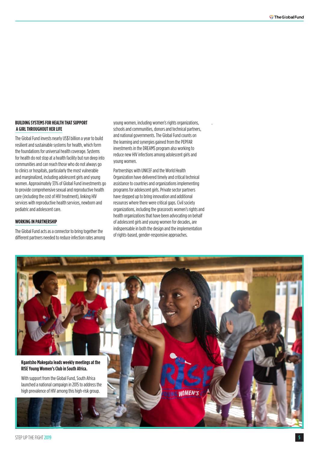#### **BUILDING SYSTEMS FOR HEALTH THAT SUPPORT A GIRL THROUGHOUT HER LIFE**

The Global Fund invests nearly US\$1 billion a year to build resilient and sustainable systems for health, which form the foundations for universal health coverage. Systems for health do not stop at a health facility but run deep into communities and can reach those who do not always go to clinics or hospitals, particularly the most vulnerable and marginalized, including adolescent girls and young women. Approximately 33% of Global Fund investments go to provide comprehensive sexual and reproductive health care (including the cost of HIV treatment), linking HIV services with reproductive health services, newborn and pediatric and adolescent care.

#### **WORKING IN PARTNERSHIP**

The Global Fund acts as a connector to bring together the different partners needed to reduce infection rates among young women, including women's rights organizations, schools and communities, donors and technical partners, and national governments. The Global Fund counts on the learning and synergies gained from the PEPFAR investments in the DREAMS program also working to reduce new HIV infections among adolescent girls and young women.

.

Partnerships with UNICEF and the World Health Organization have delivered timely and critical technical assistance to countries and organizations implementing programs for adolescent girls. Private sector partners have stepped up to bring innovation and additional resources where there were critical gaps. Civil society organizations, including the grassroots women's rights and health organizations that have been advocating on behalf of adolescent girls and young women for decades, are indispensable in both the design and the implementation of rights-based, gender-responsive approaches.

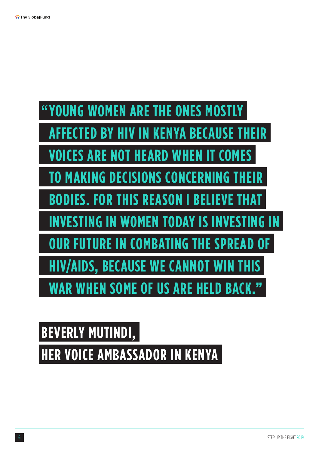

### **BEVERLY MUTINDI, HER VOICE AMBASSADOR IN KENYA**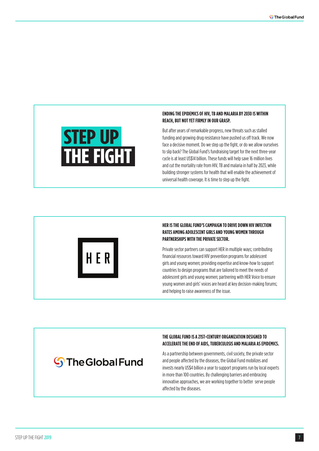

#### **ENDING THE EPIDEMICS OF HIV, TB AND MALARIA BY 2030 IS WITHIN REACH, BUT NOT YET FIRMLY IN OUR GRASP.**

But after years of remarkable progress, new threats such as stalled funding and growing drug resistance have pushed us off track. We now face a decisive moment. Do we step up the fight, or do we allow ourselves to slip back? The Global Fund's fundraising target for the next three-year cycle is at least US\$14 billion. These funds will help save 16 million lives and cut the mortality rate from HIV, TB and malaria in half by 2023, while building stronger systems for health that will enable the achievement of universal health coverage. It is time to step up the fight.



#### **HER IS THE GLOBAL FUND'S CAMPAIGN TO DRIVE DOWN HIV INFECTION RATES AMONG ADOLESCENT GIRLS AND YOUNG WOMEN THROUGH PARTNERSHIPS WITH THE PRIVATE SECTOR.**

Private sector partners can support HER in multiple ways; contributing financial resources toward HIV prevention programs for adolescent girls and young women; providing expertise and know-how to support countries to design programs that are tailored to meet the needs of adolescent girls and young women; partnering with HER Voice to ensure young women and girls' voices are heard at key decision-making forums; and helping to raise awareness of the issue.

#### **S** The Global Fund

#### **THE GLOBAL FUND IS A 21ST-CENTURY ORGANIZATION DESIGNED TO ACCELERATE THE END OF AIDS, TUBERCULOSIS AND MALARIA AS EPIDEMICS.**

As a partnership between governments, civil society, the private sector and people affected by the diseases, the Global Fund mobilizes and invests nearly US\$4 billion a year to support programs run by local experts in more than 100 countries. By challenging barriers and embracing innovative approaches, we are working together to better serve people affected by the diseases.